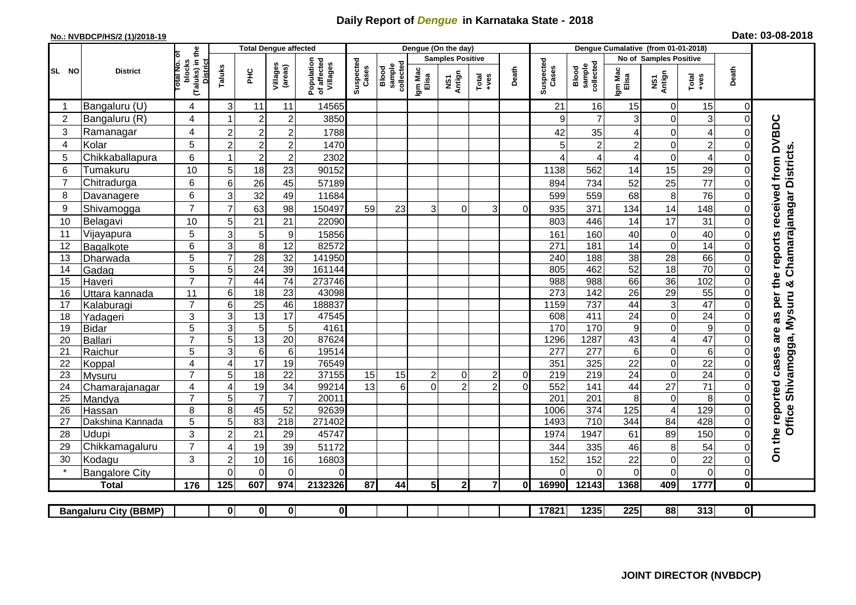## **Daily Report of** *Dengue* **in Karnataka State - 2018**

## **No.: NVBDCP/HS/2 (1)/2018-19 Date: 03-08-2018**

|                                                                                                                                                       | <b>District</b>         |                                                              | <b>Total Dengue affected</b> |                            |                                   |                                       |                    |                              |                         | Dengue (On the day) |                  |              |                          |                                     |                  |                              |                         |                         |                                                                  |
|-------------------------------------------------------------------------------------------------------------------------------------------------------|-------------------------|--------------------------------------------------------------|------------------------------|----------------------------|-----------------------------------|---------------------------------------|--------------------|------------------------------|-------------------------|---------------------|------------------|--------------|--------------------------|-------------------------------------|------------------|------------------------------|-------------------------|-------------------------|------------------------------------------------------------------|
|                                                                                                                                                       |                         |                                                              |                              |                            |                                   |                                       |                    |                              | <b>Samples Positive</b> |                     |                  |              |                          | No of Samples Positive              |                  |                              |                         |                         |                                                                  |
| SL NO                                                                                                                                                 |                         | (Taluks) in the<br>Total No. Of<br>blocks<br><b>District</b> | Taluks                       | ΞÉ                         | Villages<br>(areas)               | Population<br>of affected<br>Villages | Suspected<br>Cases | sample<br>collected<br>Blood | Igm Mac<br>Elisa        | NS1<br>Antign       | $Tota$<br>$+ves$ | Death        | Suspected<br>Cases       | collected<br><b>Blood</b><br>sample | Igm Mac<br>Elisa | NS1<br>Antign                | Total<br>+ves           | Death                   |                                                                  |
|                                                                                                                                                       | Bangaluru (U)           | 4                                                            | 3                            | 11                         | 11                                | 14565                                 |                    |                              |                         |                     |                  |              | 21                       | 16                                  | 15               | 0                            | 15                      | $\mathbf 0$             |                                                                  |
| $\overline{2}$                                                                                                                                        | Bangaluru (R)           | 4                                                            |                              | $\overline{2}$             | $\overline{c}$                    | 3850                                  |                    |                              |                         |                     |                  |              | 9                        | $\overline{7}$                      | 3                | 0                            | 3                       | $\mathbf 0$             |                                                                  |
| 3                                                                                                                                                     | Ramanagar               | 4                                                            | $\overline{c}$               | $\overline{c}$             | $\overline{2}$                    | 1788                                  |                    |                              |                         |                     |                  |              | 42                       | 35                                  | 4                | $\overline{0}$               | $\overline{\mathbf{4}}$ | $\Omega$                |                                                                  |
| 4                                                                                                                                                     | Kolar                   | 5                                                            | $\overline{2}$               | $\overline{\mathbf{c}}$    | 2                                 | 1470                                  |                    |                              |                         |                     |                  |              | 5                        | $\overline{a}$                      | $\overline{c}$   | 0                            | $\overline{c}$          | $\Omega$                |                                                                  |
| 5                                                                                                                                                     | Chikkaballapura         | 6                                                            |                              | $\overline{2}$             | $\overline{c}$                    | 2302                                  |                    |                              |                         |                     |                  |              | 4                        | $\overline{4}$                      | 4                | 0                            | $\overline{4}$          | $\Omega$                |                                                                  |
| 6                                                                                                                                                     | Tumakuru                | 10                                                           | 5                            | 18                         | 23                                | 90152                                 |                    |                              |                         |                     |                  |              | 1138                     | 562                                 | 14               | 15                           | 29                      | $\mathbf 0$             | Chamarajanagar Districts                                         |
| 7                                                                                                                                                     | Chitradurga             | 6                                                            | 6                            | 26                         | 45                                | 57189                                 |                    |                              |                         |                     |                  |              | 894                      | 734                                 | 52               | 25                           | 77                      | $\Omega$                |                                                                  |
| 8                                                                                                                                                     | Davanagere              | 6                                                            | 3                            | 32                         | 49                                | 11684                                 |                    |                              |                         |                     |                  |              | 599                      | 559                                 | 68               | 8                            | 76                      | $\mathbf 0$             |                                                                  |
| 9                                                                                                                                                     | Shivamogga              | $\overline{7}$                                               | 7                            | 63                         | 98                                | 150497                                | 59                 | 23                           | 3                       | $\Omega$            | 3                | $\Omega$     | 935                      | 371                                 | 134              | 14                           | 148                     | $\Omega$                |                                                                  |
| 10                                                                                                                                                    | Belagavi                | 10                                                           | 5                            | 21                         | 21                                | 22090                                 |                    |                              |                         |                     |                  |              | 803                      | 446                                 | 14               | 17                           | 31                      | $\mathbf 0$             |                                                                  |
| 11                                                                                                                                                    | Vijayapura              | $\overline{5}$                                               | 3                            | 5                          | $\boldsymbol{9}$                  | 15856                                 |                    |                              |                         |                     |                  |              | 161                      | 160                                 | 40               | 0                            | 40                      | $\mathbf 0$             |                                                                  |
| 12                                                                                                                                                    | Bagalkote               | 6                                                            | 3                            | 8                          | 12                                | 82572                                 |                    |                              |                         |                     |                  |              | 271                      | 181                                 | 14               | 0                            | 14                      | $\Omega$                |                                                                  |
| 13                                                                                                                                                    | Dharwada                | 5                                                            | $\overline{7}$               | 28                         | $\overline{32}$                   | 141950                                |                    |                              |                         |                     |                  |              | 240                      | 188                                 | $\overline{38}$  | 28                           | 66                      | $\Omega$                |                                                                  |
| 14                                                                                                                                                    | Gadag                   | $\overline{5}$                                               | 5                            | 24                         | $\overline{39}$                   | 161144                                |                    |                              |                         |                     |                  |              | 805                      | 462                                 | 52               | 18                           | 70                      | $\mathbf 0$             |                                                                  |
| 15                                                                                                                                                    | Haveri                  | $\overline{7}$                                               | $\overline{7}$               | 44                         | $\overline{74}$                   | 273746                                |                    |                              |                         |                     |                  |              | 988                      | 988                                 | 66               | 36                           | 102                     | $\mathbf 0$             | ×                                                                |
| 16                                                                                                                                                    | Uttara kannada          | 11                                                           | 6                            | 18                         | $\overline{23}$                   | 43098                                 |                    |                              |                         |                     |                  |              | 273                      | 142                                 | 26               | 29                           | 55                      | $\Omega$                |                                                                  |
| 17                                                                                                                                                    | Kalaburagi              | $\overline{7}$                                               | 6                            | $\overline{25}$            | 46                                | 188837                                |                    |                              |                         |                     |                  |              | 1159                     | 737                                 | 44               | 3                            | 47                      | $\Omega$                |                                                                  |
| 18                                                                                                                                                    | Yadageri                | 3                                                            | 3                            | $\overline{13}$            | 17                                | 47545                                 |                    |                              |                         |                     |                  |              | 608                      | 411                                 | 24               | $\mathbf 0$                  | $\overline{24}$         | $\Omega$                |                                                                  |
| 19                                                                                                                                                    | <b>Bidar</b>            | 5                                                            | 3                            | 5                          | 5                                 | 4161                                  |                    |                              |                         |                     |                  |              | 170                      | 170                                 | $\boldsymbol{9}$ | 0                            | $\overline{9}$          | $\Omega$                |                                                                  |
| 20                                                                                                                                                    | Ballari                 | $\overline{7}$<br>5                                          | 5<br>3                       | 13                         | $\overline{20}$<br>$\overline{6}$ | 87624<br>19514                        |                    |                              |                         |                     |                  |              | 1296<br>$\overline{277}$ | 1287<br>$\overline{277}$            | 43               | $\overline{\mathbf{4}}$<br>0 | 47<br>$\overline{6}$    | $\Omega$                |                                                                  |
| 21<br>22                                                                                                                                              | Raichur                 | 4                                                            | $\overline{4}$               | $\,6\,$<br>$\overline{17}$ | 19                                | 76549                                 |                    |                              |                         |                     |                  |              | 351                      | 325                                 | 6<br>22          | 0                            | $\overline{22}$         | $\mathbf 0$<br>$\Omega$ |                                                                  |
| 23                                                                                                                                                    | Koppal<br><b>Mysuru</b> | $\overline{7}$                                               | 5                            | $\overline{18}$            | $\overline{22}$                   | 37155                                 | 15                 | 15                           | $\overline{2}$          | $\Omega$            | $\overline{2}$   | $\Omega$     | 219                      | 219                                 | $\overline{24}$  | 0                            | $\overline{24}$         | $\Omega$                |                                                                  |
| 24                                                                                                                                                    | Chamarajanagar          | 4                                                            | $\overline{4}$               | 19                         | $\overline{34}$                   | 99214                                 | $\overline{13}$    | 6                            | $\Omega$                | $\overline{c}$      | $\overline{2}$   | $\Omega$     | 552                      | 141                                 | 44               | $\overline{27}$              | $\overline{71}$         | $\mathbf 0$             | Shivamogga, Mysuru                                               |
| 25                                                                                                                                                    | Mandya                  | $\overline{7}$                                               | 5                            | $\overline{7}$             | $\overline{7}$                    | 20011                                 |                    |                              |                         |                     |                  |              | 201                      | $\overline{201}$                    | 8                | $\mathbf 0$                  | 8                       | $\Omega$                |                                                                  |
| 26                                                                                                                                                    | Hassan                  | 8                                                            | 8                            | 45                         | $\overline{52}$                   | 92639                                 |                    |                              |                         |                     |                  |              | 1006                     | 374                                 | 125              | $\overline{4}$               | 129                     | $\overline{0}$          | Office:                                                          |
| 27                                                                                                                                                    | Dakshina Kannada        | 5                                                            | 5                            | 83                         | 218                               | 271402                                |                    |                              |                         |                     |                  |              | 1493                     | 710                                 | 344              | 84                           | 428                     | $\mathbf 0$             |                                                                  |
| 28                                                                                                                                                    | Udupi                   | 3                                                            | $\overline{c}$               | 21                         | 29                                | 45747                                 |                    |                              |                         |                     |                  |              | 1974                     | 1947                                | 61               | 89                           | 150                     | $\mathbf 0$             |                                                                  |
| 29                                                                                                                                                    | Chikkamagaluru          | $\overline{7}$                                               | ⊿                            | 19                         | 39                                | 51172                                 |                    |                              |                         |                     |                  |              | 344                      | 335                                 | 46               | 8                            | 54                      | 0                       | On the reported cases are as per the reports received from DVBDC |
| 30                                                                                                                                                    | Kodagu                  | 3                                                            | $\overline{2}$               | $10$                       | 16                                | 16803                                 |                    |                              |                         |                     |                  |              | 152                      | 152                                 | 22               | 0                            | 22                      | $\mathbf 0$             |                                                                  |
|                                                                                                                                                       | <b>Bangalore City</b>   |                                                              | $\Omega$                     | $\Omega$                   | $\Omega$                          | $\Omega$                              |                    |                              |                         |                     |                  |              | $\Omega$                 | $\Omega$                            | $\mathbf 0$      | 0                            | $\mathbf 0$             | $\mathbf 0$             |                                                                  |
|                                                                                                                                                       | <b>Total</b>            | 176                                                          | 125                          | 607                        | 974                               | 2132326                               | 87                 | 44                           | 5 <sub>l</sub>          | $\overline{2}$      | $\mathbf{z}$     | $\mathbf{0}$ | 16990                    | 12143                               | 1368             | 409                          | 1777                    | $\mathbf 0$             |                                                                  |
|                                                                                                                                                       |                         |                                                              |                              |                            |                                   |                                       |                    |                              |                         |                     |                  |              |                          |                                     |                  |                              |                         |                         |                                                                  |
| $\overline{\mathbf{0}}$<br>17821<br>1235<br>225<br>88<br>313<br>$\overline{0}$<br>$\mathbf{0}$<br>$\mathbf{0}$<br> 0 <br><b>Bangaluru City (BBMP)</b> |                         |                                                              |                              |                            |                                   |                                       |                    |                              |                         |                     |                  |              |                          |                                     |                  |                              |                         |                         |                                                                  |